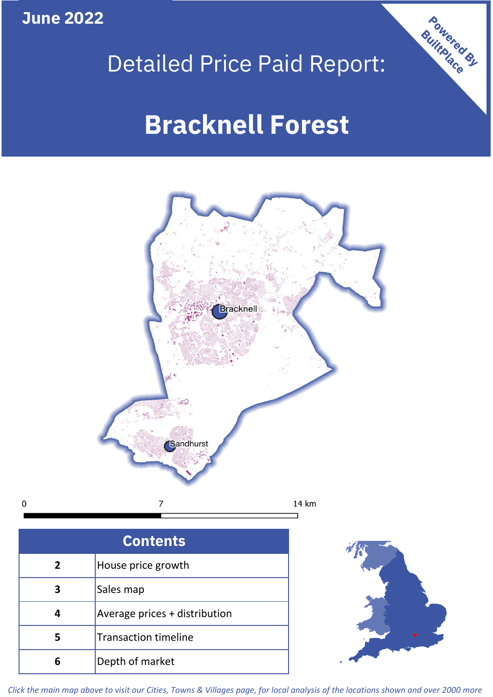**June 2022**

 $\mathbf 0$ 



# Detailed Price Paid Report:

# **Bracknell Forest**



| <b>Contents</b> |                               |  |  |
|-----------------|-------------------------------|--|--|
| $\overline{2}$  | House price growth            |  |  |
| 3               | Sales map                     |  |  |
|                 | Average prices + distribution |  |  |
| 5               | <b>Transaction timeline</b>   |  |  |
| 6               | Depth of market               |  |  |



*Click the main map above to visit our Cities, Towns & Villages page, for local analysis of the locations shown and over 2000 more*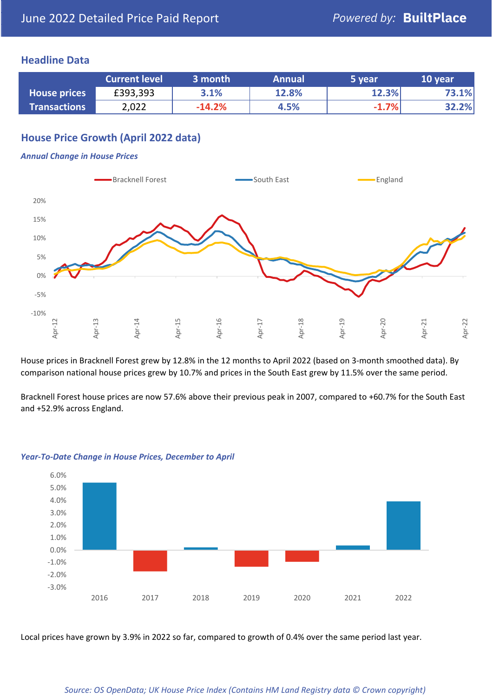#### **Headline Data**

|                     | <b>Current level</b> | 3 month  | <b>Annual</b> | 5 year  | 10 year |
|---------------------|----------------------|----------|---------------|---------|---------|
| <b>House prices</b> | £393,393             | 3.1%     | 12.8%         | 12.3%   | 73.1%   |
| <b>Transactions</b> | 2,022                | $-14.2%$ | 4.5%          | $-1.7%$ | 32.2%   |

## **House Price Growth (April 2022 data)**

#### *Annual Change in House Prices*



House prices in Bracknell Forest grew by 12.8% in the 12 months to April 2022 (based on 3-month smoothed data). By comparison national house prices grew by 10.7% and prices in the South East grew by 11.5% over the same period.

Bracknell Forest house prices are now 57.6% above their previous peak in 2007, compared to +60.7% for the South East and +52.9% across England.



#### *Year-To-Date Change in House Prices, December to April*

Local prices have grown by 3.9% in 2022 so far, compared to growth of 0.4% over the same period last year.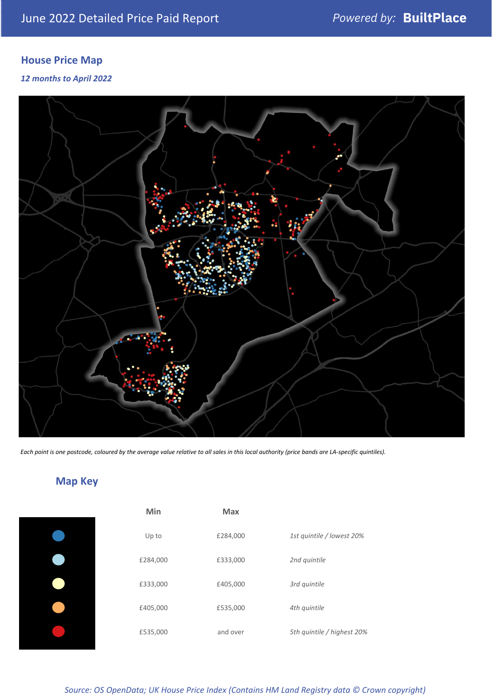# **House Price Map**

#### *12 months to April 2022*



*Each point is one postcode, coloured by the average value relative to all sales in this local authority (price bands are LA-specific quintiles).*

# **Map Key**

| Min      | <b>Max</b> |                            |
|----------|------------|----------------------------|
| Up to    | £284,000   | 1st quintile / lowest 20%  |
| £284,000 | £333,000   | 2nd quintile               |
| £333,000 | £405,000   | 3rd quintile               |
| £405,000 | £535,000   | 4th quintile               |
| £535,000 | and over   | 5th quintile / highest 20% |

*Source: OS OpenData; UK House Price Index (Contains HM Land Registry data © Crown copyright)*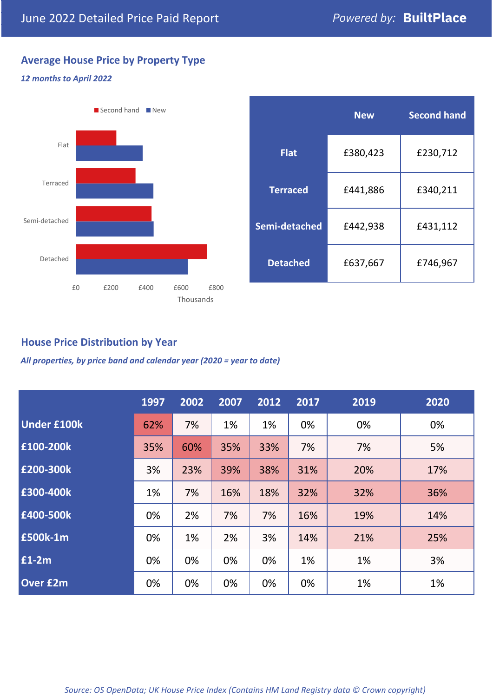# **Average House Price by Property Type**

#### *12 months to April 2022*



|                 | <b>New</b> | <b>Second hand</b> |  |  |
|-----------------|------------|--------------------|--|--|
| <b>Flat</b>     | £380,423   | £230,712           |  |  |
| <b>Terraced</b> | £441,886   | £340,211           |  |  |
| Semi-detached   | £442,938   | £431,112           |  |  |
| <b>Detached</b> | £637,667   | £746,967           |  |  |

### **House Price Distribution by Year**

*All properties, by price band and calendar year (2020 = year to date)*

|                    | 1997 | 2002 | 2007 | 2012 | 2017 | 2019 | 2020 |
|--------------------|------|------|------|------|------|------|------|
| <b>Under £100k</b> | 62%  | 7%   | 1%   | 1%   | 0%   | 0%   | 0%   |
| £100-200k          | 35%  | 60%  | 35%  | 33%  | 7%   | 7%   | 5%   |
| E200-300k          | 3%   | 23%  | 39%  | 38%  | 31%  | 20%  | 17%  |
| £300-400k          | 1%   | 7%   | 16%  | 18%  | 32%  | 32%  | 36%  |
| £400-500k          | 0%   | 2%   | 7%   | 7%   | 16%  | 19%  | 14%  |
| <b>£500k-1m</b>    | 0%   | 1%   | 2%   | 3%   | 14%  | 21%  | 25%  |
| £1-2m              | 0%   | 0%   | 0%   | 0%   | 1%   | 1%   | 3%   |
| <b>Over £2m</b>    | 0%   | 0%   | 0%   | 0%   | 0%   | 1%   | 1%   |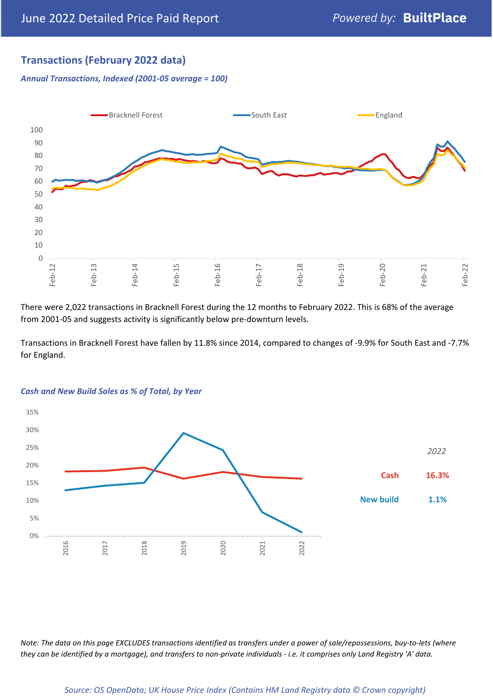# **Transactions (February 2022 data)**

*Annual Transactions, Indexed (2001-05 average = 100)*



There were 2,022 transactions in Bracknell Forest during the 12 months to February 2022. This is 68% of the average from 2001-05 and suggests activity is significantly below pre-downturn levels.

Transactions in Bracknell Forest have fallen by 11.8% since 2014, compared to changes of -9.9% for South East and -7.7% for England.



#### *Cash and New Build Sales as % of Total, by Year*

*Note: The data on this page EXCLUDES transactions identified as transfers under a power of sale/repossessions, buy-to-lets (where they can be identified by a mortgage), and transfers to non-private individuals - i.e. it comprises only Land Registry 'A' data.*